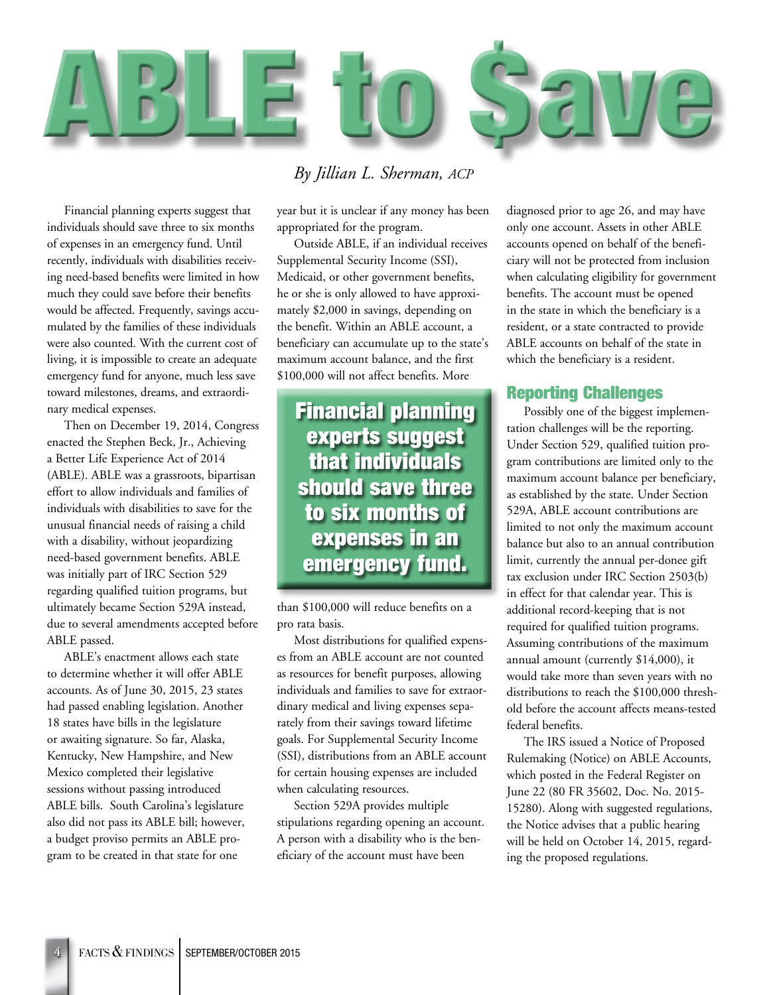

*By Jillian L. Sherman, ACP*

Financial planning experts suggest that individuals should save three to six months of expenses in an emergency fund. Until recently, individuals with disabilities receiving need-based benefits were limited in how much they could save before their benefits would be affected. Frequently, savings accumulated by the families of these individuals were also counted. With the current cost of living, it is impossible to create an adequate emergency fund for anyone, much less save toward milestones, dreams, and extraordinary medical expenses.

Then on December 19, 2014, Congress enacted the Stephen Beck, Jr., Achieving a Better Life Experience Act of 2014 (ABLE). ABLE was a grassroots, bipartisan effort to allow individuals and families of individuals with disabilities to save for the unusual financial needs of raising a child with a disability, without jeopardizing need-based government benefits. ABLE was initially part of IRC Section 529 regarding qualified tuition programs, but ultimately became Section 529A instead, due to several amendments accepted before ABLE passed.

ABLE's enactment allows each state to determine whether it will offer ABLE accounts. As of June 30, 2015, 23 states had passed enabling legislation. Another 18 states have bills in the legislature or awaiting signature. So far, Alaska, Kentucky, New Hampshire, and New Mexico completed their legislative sessions without passing introduced ABLE bills. South Carolina's legislature also did not pass its ABLE bill; however, a budget proviso permits an ABLE program to be created in that state for one

year but it is unclear if any money has been appropriated for the program.

Outside ABLE, if an individual receives Supplemental Security Income (SSI), Medicaid, or other government benefits, he or she is only allowed to have approximately \$2,000 in savings, depending on the benefit. Within an ABLE account, a beneficiary can accumulate up to the state's maximum account balance, and the first \$100,000 will not affect benefits. More

Financial planning experts suggest that individuals should save three to six months of expenses in an emergency fund.

than \$100,000 will reduce benefits on a pro rata basis.

Most distributions for qualified expenses from an ABLE account are not counted as resources for benefit purposes, allowing individuals and families to save for extraordinary medical and living expenses separately from their savings toward lifetime goals. For Supplemental Security Income (SSI), distributions from an ABLE account for certain housing expenses are included when calculating resources.

Section 529A provides multiple stipulations regarding opening an account. A person with a disability who is the beneficiary of the account must have been

diagnosed prior to age 26, and may have only one account. Assets in other ABLE accounts opened on behalf of the beneficiary will not be protected from inclusion when calculating eligibility for government benefits. The account must be opened in the state in which the beneficiary is a resident, or a state contracted to provide ABLE accounts on behalf of the state in which the beneficiary is a resident.

# Reporting Challenges

Possibly one of the biggest implementation challenges will be the reporting. Under Section 529, qualified tuition program contributions are limited only to the maximum account balance per beneficiary, as established by the state. Under Section 529A, ABLE account contributions are limited to not only the maximum account balance but also to an annual contribution limit, currently the annual per-donee gift tax exclusion under IRC Section 2503(b) in effect for that calendar year. This is additional record-keeping that is not required for qualified tuition programs. Assuming contributions of the maximum annual amount (currently \$14,000), it would take more than seven years with no distributions to reach the \$100,000 threshold before the account affects means-tested federal benefits.

The IRS issued a Notice of Proposed Rulemaking (Notice) on ABLE Accounts, which posted in the Federal Register on June 22 (80 FR 35602, Doc. No. 2015- 15280). Along with suggested regulations, the Notice advises that a public hearing will be held on October 14, 2015, regarding the proposed regulations.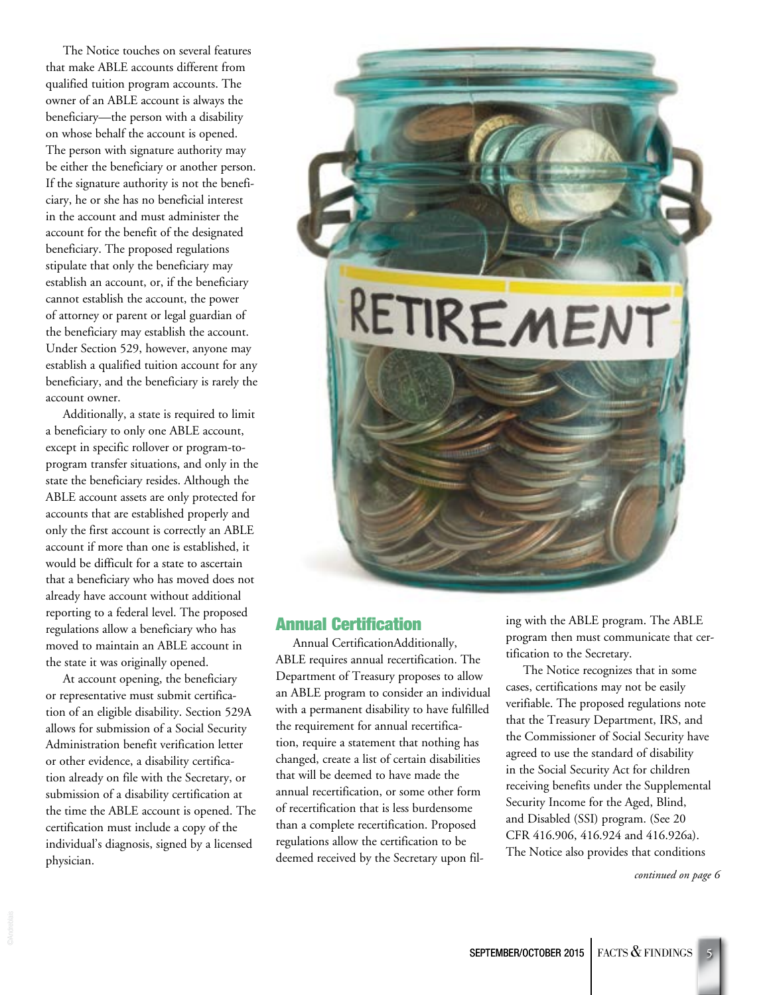The Notice touches on several features that make ABLE accounts different from qualified tuition program accounts. The owner of an ABLE account is always the beneficiary—the person with a disability on whose behalf the account is opened. The person with signature authority may be either the beneficiary or another person. If the signature authority is not the beneficiary, he or she has no beneficial interest in the account and must administer the account for the benefit of the designated beneficiary. The proposed regulations stipulate that only the beneficiary may establish an account, or, if the beneficiary cannot establish the account, the power of attorney or parent or legal guardian of the beneficiary may establish the account. Under Section 529, however, anyone may establish a qualified tuition account for any beneficiary, and the beneficiary is rarely the account owner.

Additionally, a state is required to limit a beneficiary to only one ABLE account, except in specific rollover or program-toprogram transfer situations, and only in the state the beneficiary resides. Although the ABLE account assets are only protected for accounts that are established properly and only the first account is correctly an ABLE account if more than one is established, it would be difficult for a state to ascertain that a beneficiary who has moved does not already have account without additional reporting to a federal level. The proposed regulations allow a beneficiary who has moved to maintain an ABLE account in the state it was originally opened.

At account opening, the beneficiary or representative must submit certification of an eligible disability. Section 529A allows for submission of a Social Security Administration benefit verification letter or other evidence, a disability certification already on file with the Secretary, or submission of a disability certification at the time the ABLE account is opened. The certification must include a copy of the individual's diagnosis, signed by a licensed physician.



# Annual Certification

Annual CertificationAdditionally, ABLE requires annual recertification. The Department of Treasury proposes to allow an ABLE program to consider an individual with a permanent disability to have fulfilled the requirement for annual recertification, require a statement that nothing has changed, create a list of certain disabilities that will be deemed to have made the annual recertification, or some other form of recertification that is less burdensome than a complete recertification. Proposed regulations allow the certification to be deemed received by the Secretary upon filing with the ABLE program. The ABLE program then must communicate that certification to the Secretary.

The Notice recognizes that in some cases, certifications may not be easily verifiable. The proposed regulations note that the Treasury Department, IRS, and the Commissioner of Social Security have agreed to use the standard of disability in the Social Security Act for children receiving benefits under the Supplemental Security Income for the Aged, Blind, and Disabled (SSI) program. (See 20 CFR 416.906, 416.924 and 416.926a). The Notice also provides that conditions

*continued on page 6*